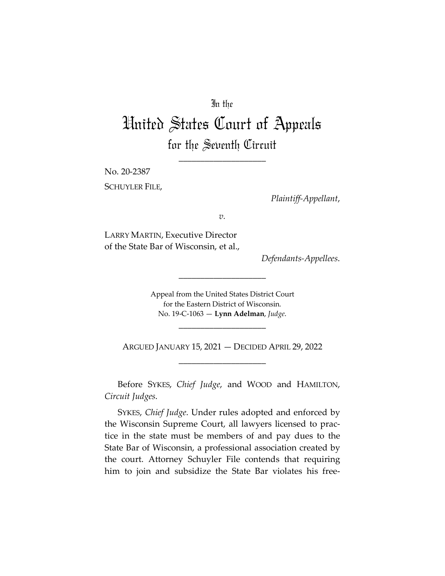## In the

## United States Court of Appeals for the Seventh Circuit

\_\_\_\_\_\_\_\_\_\_\_\_\_\_\_\_\_\_\_\_

No. 20-2387

SCHUYLER FILE,

*Plaintiff-Appellant*,

*v.*

LARRY MARTIN, Executive Director of the State Bar of Wisconsin, et al.,

*Defendants-Appellees*.

Appeal from the United States District Court for the Eastern District of Wisconsin. No. 19-C-1063 — **Lynn Adelman**, *Judge*.

\_\_\_\_\_\_\_\_\_\_\_\_\_\_\_\_\_\_\_\_

\_\_\_\_\_\_\_\_\_\_\_\_\_\_\_\_\_\_\_\_

ARGUED JANUARY 15, 2021 — DECIDED APRIL 29, 2022 \_\_\_\_\_\_\_\_\_\_\_\_\_\_\_\_\_\_\_\_

Before SYKES, *Chief Judge*, and WOOD and HAMILTON, *Circuit Judges*.

SYKES, *Chief Judge*. Under rules adopted and enforced by the Wisconsin Supreme Court, all lawyers licensed to practice in the state must be members of and pay dues to the State Bar of Wisconsin, a professional association created by the court. Attorney Schuyler File contends that requiring him to join and subsidize the State Bar violates his free-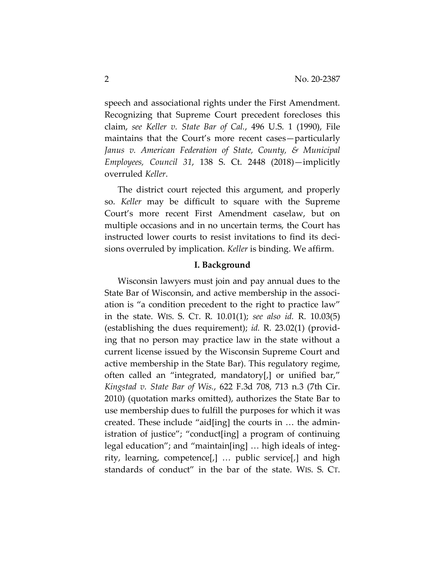speech and associational rights under the First Amendment. Recognizing that Supreme Court precedent forecloses this claim, *see Keller v. State Bar of Cal.*, 496 U.S. 1 (1990), File maintains that the Court's more recent cases—particularly *Janus v. American Federation of State, County, & Municipal Employees, Council 31*, 138 S. Ct. 2448 (2018)—implicitly overruled *Keller*.

The district court rejected this argument, and properly so. *Keller* may be difficult to square with the Supreme Court's more recent First Amendment caselaw, but on multiple occasions and in no uncertain terms, the Court has instructed lower courts to resist invitations to find its decisions overruled by implication. *Keller* is binding. We affirm.

## **I. Background**

Wisconsin lawyers must join and pay annual dues to the State Bar of Wisconsin, and active membership in the association is "a condition precedent to the right to practice law" in the state. WIS. S. CT. R. 10.01(1); *see also id.* R. 10.03(5) (establishing the dues requirement); *id.* R. 23.02(1) (providing that no person may practice law in the state without a current license issued by the Wisconsin Supreme Court and active membership in the State Bar). This regulatory regime, often called an "integrated, mandatory[,] or unified bar," *Kingstad v. State Bar of Wis.*, 622 F.3d 708, 713 n.3 (7th Cir. 2010) (quotation marks omitted), authorizes the State Bar to use membership dues to fulfill the purposes for which it was created. These include "aid[ing] the courts in … the administration of justice"; "conduct[ing] a program of continuing legal education"; and "maintain[ing] … high ideals of integrity, learning, competence[,] … public service[,] and high standards of conduct" in the bar of the state. WIS. S. CT.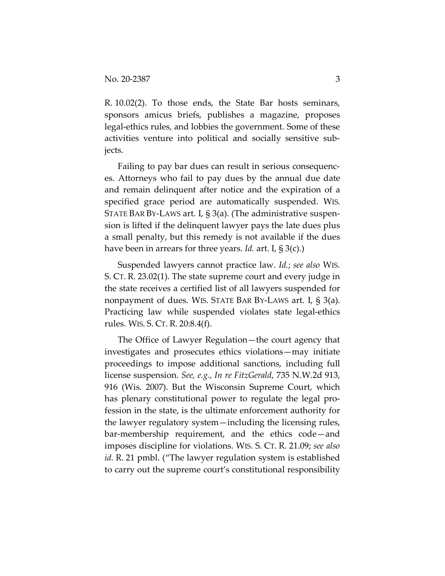R. 10.02(2). To those ends, the State Bar hosts seminars, sponsors amicus briefs, publishes a magazine, proposes legal-ethics rules, and lobbies the government. Some of these activities venture into political and socially sensitive subjects.

Failing to pay bar dues can result in serious consequences. Attorneys who fail to pay dues by the annual due date and remain delinquent after notice and the expiration of a specified grace period are automatically suspended. WIS. STATE BAR BY-LAWS art. I, § 3(a). (The administrative suspension is lifted if the delinquent lawyer pays the late dues plus a small penalty, but this remedy is not available if the dues have been in arrears for three years. *Id.* art. I, § 3(c).)

Suspended lawyers cannot practice law. *Id.*; *see also* WIS. S. CT. R. 23.02(1). The state supreme court and every judge in the state receives a certified list of all lawyers suspended for nonpayment of dues. WIS. STATE BAR BY-LAWS art. I, § 3(a). Practicing law while suspended violates state legal-ethics rules. WIS. S. CT. R. 20:8.4(f).

The Office of Lawyer Regulation—the court agency that investigates and prosecutes ethics violations—may initiate proceedings to impose additional sanctions, including full license suspension. *See, e.g.*, *In re FitzGerald*, 735 N.W.2d 913, 916 (Wis. 2007). But the Wisconsin Supreme Court, which has plenary constitutional power to regulate the legal profession in the state, is the ultimate enforcement authority for the lawyer regulatory system—including the licensing rules, bar-membership requirement, and the ethics code—and imposes discipline for violations. WIS. S. CT. R. 21.09; *see also id.* R. 21 pmbl. ("The lawyer regulation system is established to carry out the supreme court's constitutional responsibility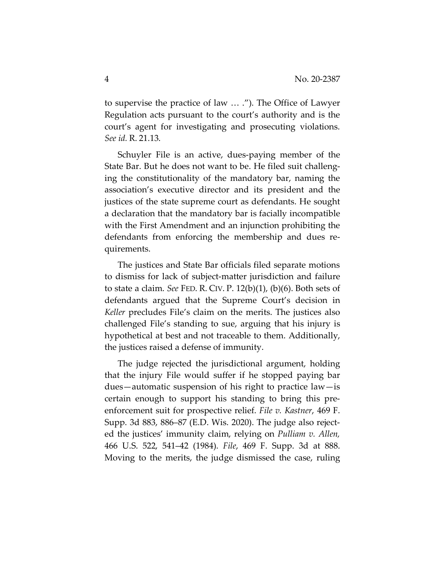to supervise the practice of law … ."). The Office of Lawyer Regulation acts pursuant to the court's authority and is the court's agent for investigating and prosecuting violations. *See id.* R. 21.13.

Schuyler File is an active, dues-paying member of the State Bar. But he does not want to be. He filed suit challenging the constitutionality of the mandatory bar, naming the association's executive director and its president and the justices of the state supreme court as defendants. He sought a declaration that the mandatory bar is facially incompatible with the First Amendment and an injunction prohibiting the defendants from enforcing the membership and dues requirements.

The justices and State Bar officials filed separate motions to dismiss for lack of subject-matter jurisdiction and failure to state a claim. *See* FED. R. CIV. P. 12(b)(1), (b)(6). Both sets of defendants argued that the Supreme Court's decision in *Keller* precludes File's claim on the merits. The justices also challenged File's standing to sue, arguing that his injury is hypothetical at best and not traceable to them. Additionally, the justices raised a defense of immunity.

The judge rejected the jurisdictional argument, holding that the injury File would suffer if he stopped paying bar dues—automatic suspension of his right to practice law—is certain enough to support his standing to bring this preenforcement suit for prospective relief. *File v. Kastner*, 469 F. Supp. 3d 883, 886–87 (E.D. Wis. 2020). The judge also rejected the justices' immunity claim, relying on *Pulliam v. Allen,*  466 U.S. 522, 541–42 (1984). *File*, 469 F. Supp. 3d at 888. Moving to the merits, the judge dismissed the case, ruling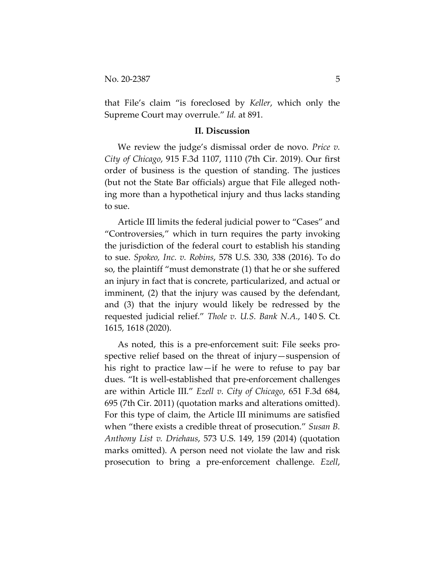that File's claim "is foreclosed by *Keller*, which only the Supreme Court may overrule." *Id.* at 891.

## **II. Discussion**

We review the judge's dismissal order de novo. *Price v. City of Chicago*, 915 F.3d 1107, 1110 (7th Cir. 2019). Our first order of business is the question of standing. The justices (but not the State Bar officials) argue that File alleged nothing more than a hypothetical injury and thus lacks standing to sue.

Article III limits the federal judicial power to "Cases" and "Controversies," which in turn requires the party invoking the jurisdiction of the federal court to establish his standing to sue. *Spokeo, Inc. v. Robins*, 578 U.S. 330, 338 (2016). To do so, the plaintiff "must demonstrate (1) that he or she suffered an injury in fact that is concrete, particularized, and actual or imminent, (2) that the injury was caused by the defendant, and (3) that the injury would likely be redressed by the requested judicial relief." *Thole v. U.S. Bank N.A.*, 140 S. Ct. 1615, 1618 (2020).

As noted, this is a pre-enforcement suit: File seeks prospective relief based on the threat of injury—suspension of his right to practice law—if he were to refuse to pay bar dues. "It is well-established that pre-enforcement challenges are within Article III." *Ezell v. City of Chicago*, 651 F.3d 684, 695 (7th Cir. 2011) (quotation marks and alterations omitted). For this type of claim, the Article III minimums are satisfied when "there exists a credible threat of prosecution." *Susan B. Anthony List v. Driehaus*, 573 U.S. 149, 159 (2014) (quotation marks omitted). A person need not violate the law and risk prosecution to bring a pre-enforcement challenge. *Ezell*,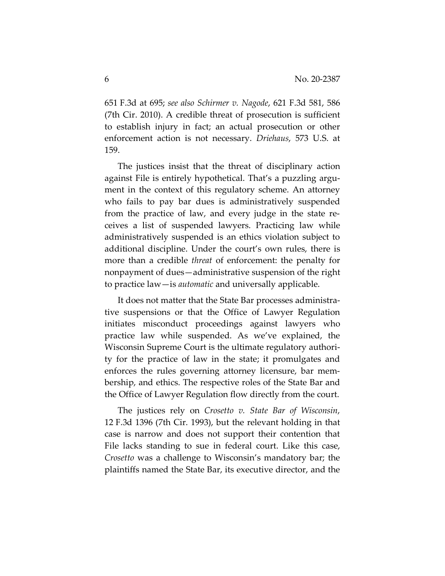651 F.3d at 695; *see also Schirmer v. Nagode*, 621 F.3d 581, 586 (7th Cir. 2010). A credible threat of prosecution is sufficient to establish injury in fact; an actual prosecution or other enforcement action is not necessary. *Driehaus*, 573 U.S. at 159.

The justices insist that the threat of disciplinary action against File is entirely hypothetical. That's a puzzling argument in the context of this regulatory scheme. An attorney who fails to pay bar dues is administratively suspended from the practice of law, and every judge in the state receives a list of suspended lawyers. Practicing law while administratively suspended is an ethics violation subject to additional discipline. Under the court's own rules, there is more than a credible *threat* of enforcement: the penalty for nonpayment of dues—administrative suspension of the right to practice law—is *automatic* and universally applicable.

It does not matter that the State Bar processes administrative suspensions or that the Office of Lawyer Regulation initiates misconduct proceedings against lawyers who practice law while suspended. As we've explained, the Wisconsin Supreme Court is the ultimate regulatory authority for the practice of law in the state; it promulgates and enforces the rules governing attorney licensure, bar membership, and ethics. The respective roles of the State Bar and the Office of Lawyer Regulation flow directly from the court.

The justices rely on *Crosetto v. State Bar of Wisconsin*, 12 F.3d 1396 (7th Cir. 1993), but the relevant holding in that case is narrow and does not support their contention that File lacks standing to sue in federal court. Like this case, *Crosetto* was a challenge to Wisconsin's mandatory bar; the plaintiffs named the State Bar, its executive director, and the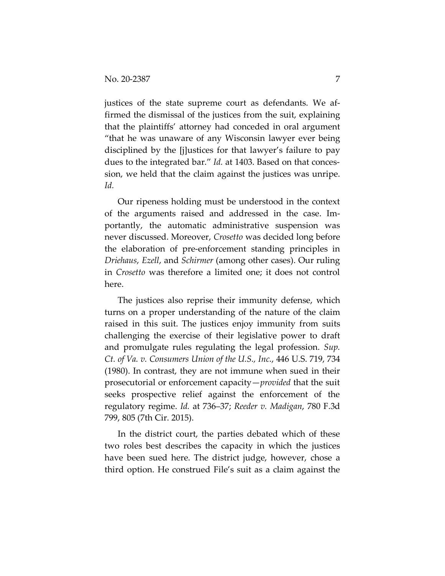justices of the state supreme court as defendants. We affirmed the dismissal of the justices from the suit, explaining that the plaintiffs' attorney had conceded in oral argument "that he was unaware of any Wisconsin lawyer ever being disciplined by the [j]ustices for that lawyer's failure to pay dues to the integrated bar." *Id.* at 1403. Based on that concession, we held that the claim against the justices was unripe. *Id.*

Our ripeness holding must be understood in the context of the arguments raised and addressed in the case. Importantly, the automatic administrative suspension was never discussed. Moreover, *Crosetto* was decided long before the elaboration of pre-enforcement standing principles in *Driehaus*, *Ezell*, and *Schirmer* (among other cases). Our ruling in *Crosetto* was therefore a limited one; it does not control here.

The justices also reprise their immunity defense, which turns on a proper understanding of the nature of the claim raised in this suit. The justices enjoy immunity from suits challenging the exercise of their legislative power to draft and promulgate rules regulating the legal profession. *Sup. Ct. of Va. v. Consumers Union of the U.S., Inc.*, 446 U.S. 719, 734 (1980). In contrast, they are not immune when sued in their prosecutorial or enforcement capacity—*provided* that the suit seeks prospective relief against the enforcement of the regulatory regime. *Id.* at 736–37; *Reeder v. Madigan*, 780 F.3d 799, 805 (7th Cir. 2015).

In the district court, the parties debated which of these two roles best describes the capacity in which the justices have been sued here. The district judge, however, chose a third option. He construed File's suit as a claim against the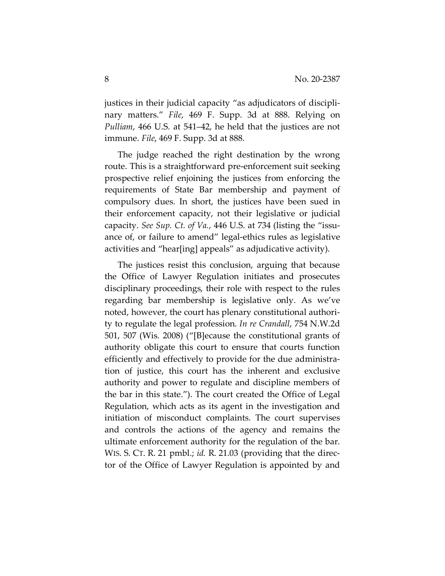justices in their judicial capacity "as adjudicators of disciplinary matters." *File*, 469 F. Supp. 3d at 888. Relying on *Pulliam*, 466 U.S. at 541–42, he held that the justices are not immune. *File*, 469 F. Supp. 3d at 888.

The judge reached the right destination by the wrong route. This is a straightforward pre-enforcement suit seeking prospective relief enjoining the justices from enforcing the requirements of State Bar membership and payment of compulsory dues. In short, the justices have been sued in their enforcement capacity, not their legislative or judicial capacity. *See Sup. Ct. of Va.*, 446 U.S. at 734 (listing the "issuance of, or failure to amend" legal-ethics rules as legislative activities and "hear[ing] appeals" as adjudicative activity).

The justices resist this conclusion, arguing that because the Office of Lawyer Regulation initiates and prosecutes disciplinary proceedings, their role with respect to the rules regarding bar membership is legislative only. As we've noted, however, the court has plenary constitutional authority to regulate the legal profession. *In re Crandall*, 754 N.W.2d 501, 507 (Wis. 2008) ("[B]ecause the constitutional grants of authority obligate this court to ensure that courts function efficiently and effectively to provide for the due administration of justice, this court has the inherent and exclusive authority and power to regulate and discipline members of the bar in this state."). The court created the Office of Legal Regulation, which acts as its agent in the investigation and initiation of misconduct complaints. The court supervises and controls the actions of the agency and remains the ultimate enforcement authority for the regulation of the bar. WIS. S. CT. R. 21 pmbl.; *id.* R. 21.03 (providing that the director of the Office of Lawyer Regulation is appointed by and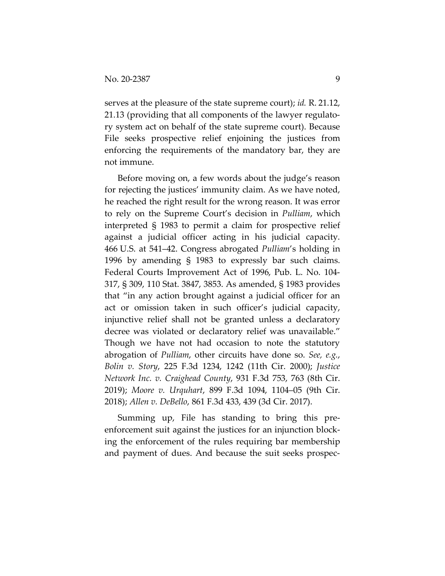serves at the pleasure of the state supreme court); *id.* R. 21.12, 21.13 (providing that all components of the lawyer regulatory system act on behalf of the state supreme court). Because File seeks prospective relief enjoining the justices from enforcing the requirements of the mandatory bar, they are not immune.

Before moving on, a few words about the judge's reason for rejecting the justices' immunity claim. As we have noted, he reached the right result for the wrong reason. It was error to rely on the Supreme Court's decision in *Pulliam*, which interpreted § 1983 to permit a claim for prospective relief against a judicial officer acting in his judicial capacity. 466 U.S. at 541–42. Congress abrogated *Pulliam*'s holding in 1996 by amending § 1983 to expressly bar such claims. Federal Courts Improvement Act of 1996, Pub. L. No. 104- 317, § 309, 110 Stat. 3847, 3853. As amended, § 1983 provides that "in any action brought against a judicial officer for an act or omission taken in such officer's judicial capacity, injunctive relief shall not be granted unless a declaratory decree was violated or declaratory relief was unavailable." Though we have not had occasion to note the statutory abrogation of *Pulliam*, other circuits have done so. *See, e.g.*, *Bolin v. Story*, 225 F.3d 1234, 1242 (11th Cir. 2000); *Justice Network Inc. v. Craighead County*, 931 F.3d 753, 763 (8th Cir. 2019); *Moore v. Urquhart*, 899 F.3d 1094, 1104–05 (9th Cir. 2018); *Allen v. DeBello*, 861 F.3d 433, 439 (3d Cir. 2017).

Summing up, File has standing to bring this preenforcement suit against the justices for an injunction blocking the enforcement of the rules requiring bar membership and payment of dues. And because the suit seeks prospec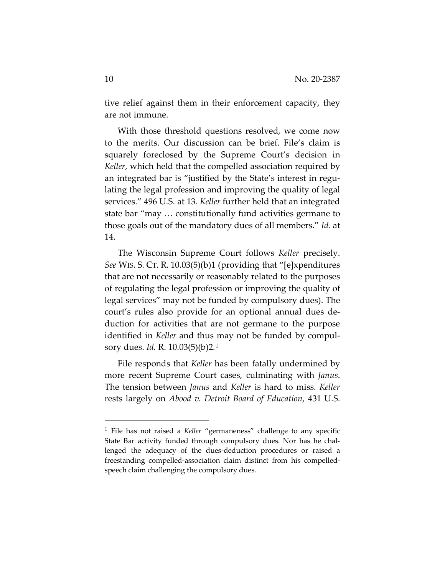tive relief against them in their enforcement capacity, they are not immune.

With those threshold questions resolved, we come now to the merits. Our discussion can be brief. File's claim is squarely foreclosed by the Supreme Court's decision in *Keller*, which held that the compelled association required by an integrated bar is "justified by the State's interest in regulating the legal profession and improving the quality of legal services." 496 U.S. at 13. *Keller* further held that an integrated state bar "may … constitutionally fund activities germane to those goals out of the mandatory dues of all members." *Id.* at 14.

The Wisconsin Supreme Court follows *Keller* precisely. *See* WIS. S. CT. R. 10.03(5)(b)1 (providing that "[e]xpenditures that are not necessarily or reasonably related to the purposes of regulating the legal profession or improving the quality of legal services" may not be funded by compulsory dues). The court's rules also provide for an optional annual dues deduction for activities that are not germane to the purpose identified in *Keller* and thus may not be funded by compulsory dues. *Id.* R. 10.03(5)(b)2*.*<sup>1</sup>

File responds that *Keller* has been fatally undermined by more recent Supreme Court cases, culminating with *Janus*. The tension between *Janus* and *Keller* is hard to miss. *Keller*  rests largely on *Abood v. Detroit Board of Education*, 431 U.S.

<sup>1</sup> File has not raised a *Keller* "germaneness" challenge to any specific State Bar activity funded through compulsory dues. Nor has he challenged the adequacy of the dues-deduction procedures or raised a freestanding compelled-association claim distinct from his compelledspeech claim challenging the compulsory dues.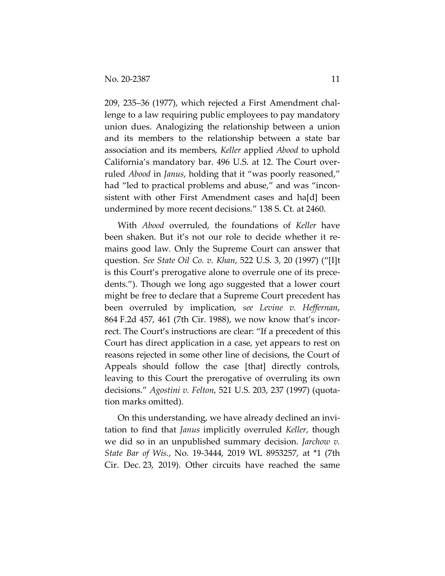209, 235–36 (1977), which rejected a First Amendment challenge to a law requiring public employees to pay mandatory union dues. Analogizing the relationship between a union and its members to the relationship between a state bar association and its members, *Keller* applied *Abood* to uphold California's mandatory bar. 496 U.S. at 12. The Court overruled *Abood* in *Janus*, holding that it "was poorly reasoned," had "led to practical problems and abuse," and was "inconsistent with other First Amendment cases and ha[d] been undermined by more recent decisions." 138 S. Ct. at 2460.

With *Abood* overruled, the foundations of *Keller* have been shaken. But it's not our role to decide whether it remains good law*.* Only the Supreme Court can answer that question. *See State Oil Co. v. Khan*, 522 U.S. 3, 20 (1997) ("[I]t is this Court's prerogative alone to overrule one of its precedents."). Though we long ago suggested that a lower court might be free to declare that a Supreme Court precedent has been overruled by implication, *see Levine v. Heffernan*, 864 F.2d 457, 461 (7th Cir. 1988), we now know that's incorrect. The Court's instructions are clear: "If a precedent of this Court has direct application in a case, yet appears to rest on reasons rejected in some other line of decisions, the Court of Appeals should follow the case [that] directly controls, leaving to this Court the prerogative of overruling its own decisions." *Agostini v. Felton*, 521 U.S. 203, 237 (1997) (quotation marks omitted).

On this understanding, we have already declined an invitation to find that *Janus* implicitly overruled *Keller*, though we did so in an unpublished summary decision. *Jarchow v. State Bar of Wis.*, No. 19-3444, 2019 WL 8953257, at \*1 (7th Cir. Dec. 23, 2019). Other circuits have reached the same